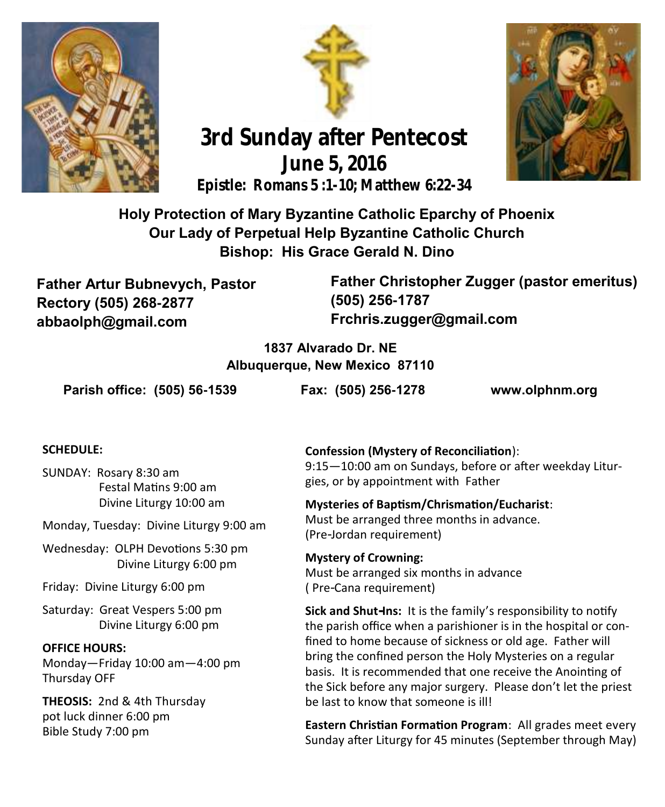





# **3rd Sunday after Pentecost June 5, 2016 Epistle: Romans 5 :1-10; Matthew 6:22-34**

# **Holy Protection of Mary Byzantine Catholic Eparchy of Phoenix Our Lady of Perpetual Help Byzantine Catholic Church Bishop: His Grace Gerald N. Dino**

**Father Artur Bubnevych, Pastor Rectory (505) 268-2877 abbaolph@gmail.com**

**Father Christopher Zugger (pastor emeritus) (505) 256-1787 Frchris.zugger@gmail.com** 

#### **1837 Alvarado Dr. NE Albuquerque, New Mexico 87110**

**Parish office: (505) 56-1539 Fax: (505) 256-1278 www.olphnm.org**

#### **SCHEDULE:**

SUNDAY: Rosary 8:30 am Festal Matins 9:00 am Divine Liturgy 10:00 am

Monday, Tuesday: Divine Liturgy 9:00 am

Wednesday: OLPH Devotions 5:30 pm Divine Liturgy 6:00 pm

Friday: Divine Liturgy 6:00 pm

Saturday: Great Vespers 5:00 pm Divine Liturgy 6:00 pm

#### **OFFICE HOURS:**

Monday—Friday 10:00 am—4:00 pm Thursday OFF

**THEOSIS:** 2nd & 4th Thursday pot luck dinner 6:00 pm Bible Study 7:00 pm

**Confession (Mystery of Reconciliation**):

9:15—10:00 am on Sundays, before or after weekday Liturgies, or by appointment with Father

**Mysteries of Baptism/Chrismation/Eucharist**:

Must be arranged three months in advance. (Pre-Jordan requirement)

**Mystery of Crowning:**  Must be arranged six months in advance ( Pre-Cana requirement)

**Sick and Shut-Ins:** It is the family's responsibility to notify the parish office when a parishioner is in the hospital or confined to home because of sickness or old age. Father will bring the confined person the Holy Mysteries on a regular basis. It is recommended that one receive the Anointing of the Sick before any major surgery. Please don't let the priest be last to know that someone is ill!

**Eastern Christian Formation Program**: All grades meet every Sunday after Liturgy for 45 minutes (September through May)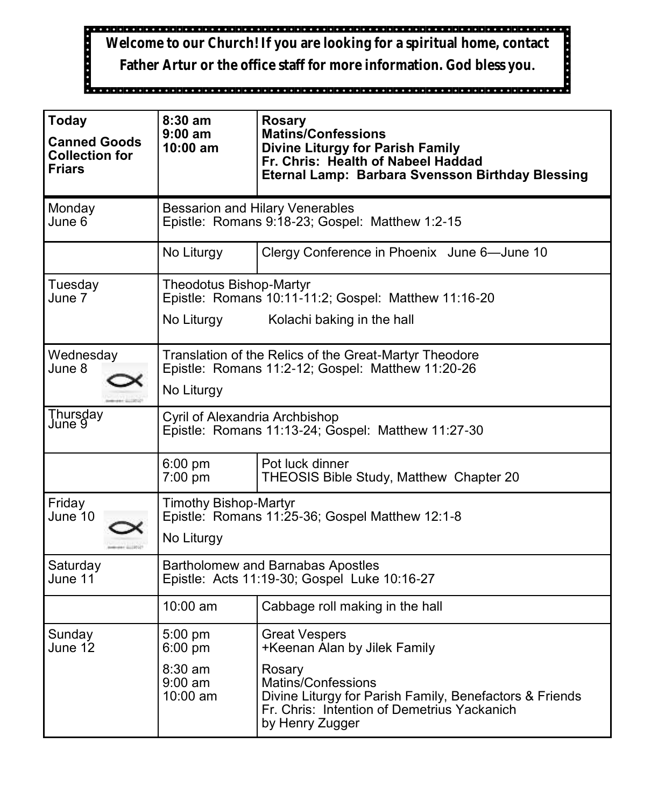**Welcome to our Church! If you are looking for a spiritual home, contact** 

**Father Artur or the office staff for more information. God bless you.**

| <b>Today</b><br><b>Canned Goods</b><br><b>Collection for</b><br><b>Friars</b> | $8:30$ am<br>$9:00$ am<br>$10:00$ am                                                                                        | <b>Rosary</b><br><b>Matins/Confessions</b><br><b>Divine Liturgy for Parish Family</b><br>Fr. Chris: Health of Nabeel Haddad<br><b>Eternal Lamp: Barbara Svensson Birthday Blessing</b>                            |  |
|-------------------------------------------------------------------------------|-----------------------------------------------------------------------------------------------------------------------------|-------------------------------------------------------------------------------------------------------------------------------------------------------------------------------------------------------------------|--|
| Monday<br>June 6                                                              | <b>Bessarion and Hilary Venerables</b><br>Epistle: Romans 9:18-23; Gospel: Matthew 1:2-15                                   |                                                                                                                                                                                                                   |  |
|                                                                               | No Liturgy                                                                                                                  | Clergy Conference in Phoenix June 6-June 10                                                                                                                                                                       |  |
| Tuesday<br>June 7                                                             | Theodotus Bishop-Martyr<br>Epistle: Romans 10:11-11:2; Gospel: Matthew 11:16-20<br>No Liturgy<br>Kolachi baking in the hall |                                                                                                                                                                                                                   |  |
| Wednesday<br>June 8                                                           | Translation of the Relics of the Great-Martyr Theodore<br>Epistle: Romans 11:2-12; Gospel: Matthew 11:20-26<br>No Liturgy   |                                                                                                                                                                                                                   |  |
| Thursday<br>June 9                                                            | Cyril of Alexandria Archbishop<br>Epistle: Romans 11:13-24; Gospel: Matthew 11:27-30                                        |                                                                                                                                                                                                                   |  |
|                                                                               | 6:00 pm<br>$7:00$ pm                                                                                                        | Pot luck dinner<br>THEOSIS Bible Study, Matthew Chapter 20                                                                                                                                                        |  |
| Friday<br>June 10                                                             | <b>Timothy Bishop-Martyr</b><br>Epistle: Romans 11:25-36; Gospel Matthew 12:1-8<br>No Liturgy                               |                                                                                                                                                                                                                   |  |
| Saturday<br>June 11                                                           | <b>Bartholomew and Barnabas Apostles</b><br>Epistle: Acts 11:19-30; Gospel Luke 10:16-27                                    |                                                                                                                                                                                                                   |  |
|                                                                               | 10:00 am                                                                                                                    | Cabbage roll making in the hall                                                                                                                                                                                   |  |
| Sunday<br>June 12                                                             | 5:00 pm<br>$6:00$ pm<br>$8:30 \text{ am}$<br>$9:00$ am<br>$10:00$ am                                                        | <b>Great Vespers</b><br>+Keenan Alan by Jilek Family<br>Rosary<br>Matins/Confessions<br>Divine Liturgy for Parish Family, Benefactors & Friends<br>Fr. Chris: Intention of Demetrius Yackanich<br>by Henry Zugger |  |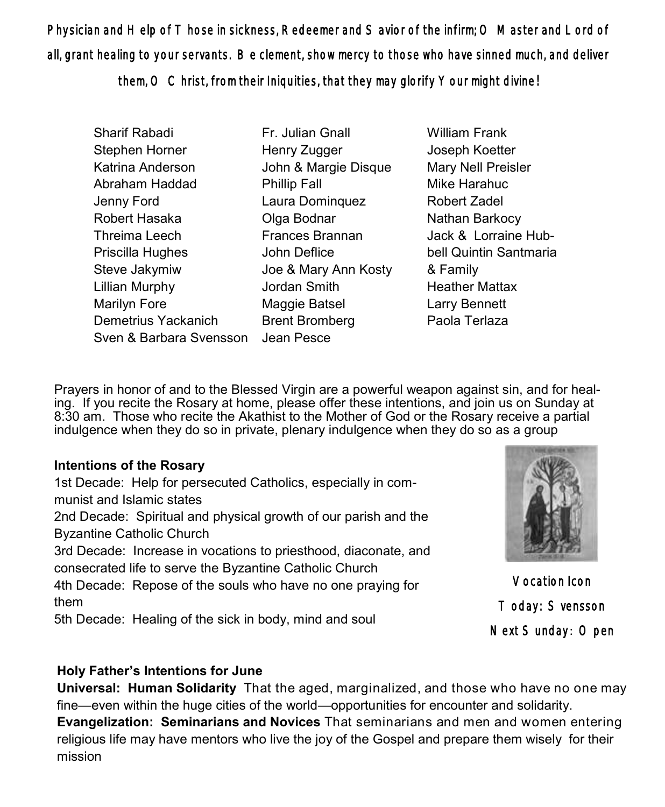Physician and Help of Those in sickness, Redeemer and Savior of the infirm; O Master and Lord of all, grant healing to your servants. Be clement, show mercy to those who have sinned much, and deliver

them, O Christ, from their Iniquities, that they may glorify Your might divine!

Sharif Rabadi Stephen Horner Katrina Anderson Abraham Haddad Jenny Ford Robert Hasaka Threima Leech Priscilla Hughes Steve Jakymiw Lillian Murphy Marilyn Fore Demetrius Yackanich Sven & Barbara Svensson Jean Pesce

Fr. Julian Gnall Henry Zugger John & Margie Disque Phillip Fall Laura Dominquez Olga Bodnar Frances Brannan John Deflice Joe & Mary Ann Kosty Jordan Smith Maggie Batsel Brent Bromberg

William Frank Joseph Koetter Mary Nell Preisler Mike Harahuc Robert Zadel Nathan Barkocy Jack & Lorraine Hubbell Quintin Santmaria & Family Heather Mattax Larry Bennett Paola Terlaza

Prayers in honor of and to the Blessed Virgin are a powerful weapon against sin, and for healing. If you recite the Rosary at home, please offer these intentions, and join us on Sunday at 8:30 am. Those who recite the Akathist to the Mother of God or the Rosary receive a partial indulgence when they do so in private, plenary indulgence when they do so as a group

#### **Intentions of the Rosary**

1st Decade: Help for persecuted Catholics, especially in communist and Islamic states 2nd Decade: Spiritual and physical growth of our parish and the Byzantine Catholic Church 3rd Decade: Increase in vocations to priesthood, diaconate, and consecrated life to serve the Byzantine Catholic Church 4th Decade: Repose of the souls who have no one praying for

them

5th Decade: Healing of the sick in body, mind and soul

Vocation Icon Today: Svensson Next Sunday: Open

### **Holy Father's Intentions for June**

**Universal: Human Solidarity** That the aged, marginalized, and those who have no one may fine—even within the huge cities of the world—opportunities for encounter and solidarity.

**Evangelization: Seminarians and Novices** That seminarians and men and women entering religious life may have mentors who live the joy of the Gospel and prepare them wisely for their mission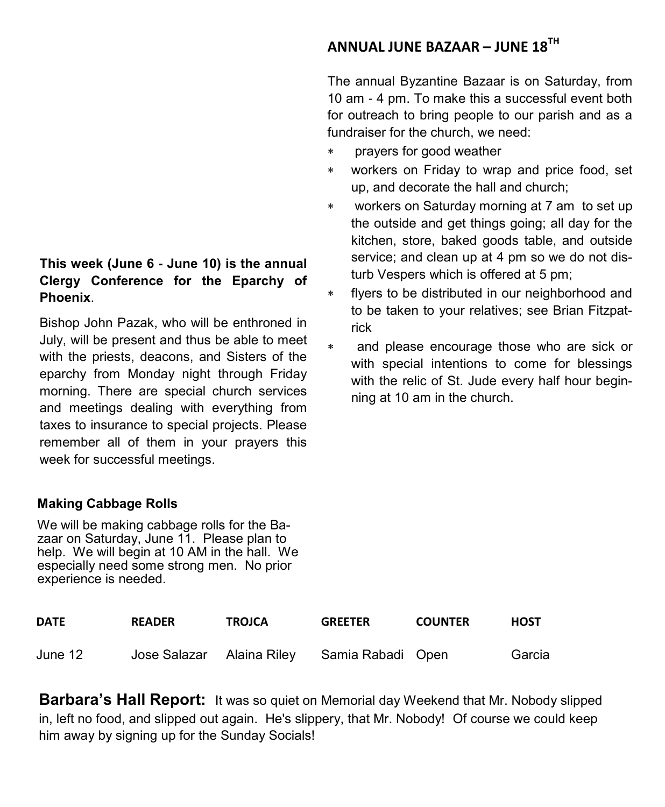#### **This week (June 6 - June 10) is the annual Clergy Conference for the Eparchy of Phoenix**.

Bishop John Pazak, who will be enthroned in July, will be present and thus be able to meet with the priests, deacons, and Sisters of the eparchy from Monday night through Friday morning. There are special church services and meetings dealing with everything from taxes to insurance to special projects. Please remember all of them in your prayers this week for successful meetings.

#### **Making Cabbage Rolls**

We will be making cabbage rolls for the Bazaar on Saturday, June 11. Please plan to help. We will begin at 10 AM in the hall. We especially need some strong men. No prior experience is needed.

## **ANNUAL JUNE BAZAAR – JUNE 18TH**

The annual Byzantine Bazaar is on Saturday, from 10 am - 4 pm. To make this a successful event both for outreach to bring people to our parish and as a fundraiser for the church, we need:

- prayers for good weather
- workers on Friday to wrap and price food, set up, and decorate the hall and church;
- workers on Saturday morning at 7 am to set up the outside and get things going; all day for the kitchen, store, baked goods table, and outside service; and clean up at 4 pm so we do not disturb Vespers which is offered at 5 pm;
- flyers to be distributed in our neighborhood and to be taken to your relatives; see Brian Fitzpatrick
- and please encourage those who are sick or with special intentions to come for blessings with the relic of St. Jude every half hour beginning at 10 am in the church.

| <b>DATE</b> | <b>READER</b> | <b>TROJCA</b> | <b>GREETER</b>                              | <b>COUNTER</b> | <b>HOST</b> |
|-------------|---------------|---------------|---------------------------------------------|----------------|-------------|
| June 12     |               |               | Jose Salazar Alaina Riley Samia Rabadi Open |                | Garcia      |

**Barbara's Hall Report:** It was so quiet on Memorial day Weekend that Mr. Nobody slipped in, left no food, and slipped out again. He's slippery, that Mr. Nobody! Of course we could keep him away by signing up for the Sunday Socials!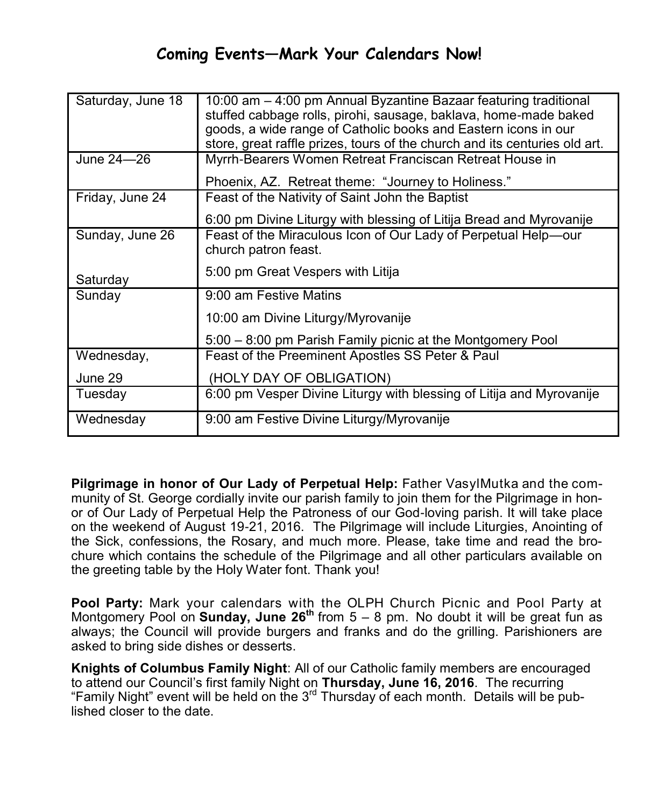# **Coming Events—Mark Your Calendars Now!**

| Saturday, June 18 | 10:00 am - 4:00 pm Annual Byzantine Bazaar featuring traditional<br>stuffed cabbage rolls, pirohi, sausage, baklava, home-made baked<br>goods, a wide range of Catholic books and Eastern icons in our<br>store, great raffle prizes, tours of the church and its centuries old art. |  |
|-------------------|--------------------------------------------------------------------------------------------------------------------------------------------------------------------------------------------------------------------------------------------------------------------------------------|--|
| June 24-26        | Myrrh-Bearers Women Retreat Franciscan Retreat House in                                                                                                                                                                                                                              |  |
|                   | Phoenix, AZ. Retreat theme: "Journey to Holiness."                                                                                                                                                                                                                                   |  |
| Friday, June 24   | Feast of the Nativity of Saint John the Baptist                                                                                                                                                                                                                                      |  |
|                   | 6:00 pm Divine Liturgy with blessing of Litija Bread and Myrovanije                                                                                                                                                                                                                  |  |
| Sunday, June 26   | Feast of the Miraculous Icon of Our Lady of Perpetual Help-our<br>church patron feast.                                                                                                                                                                                               |  |
| Saturday          | 5:00 pm Great Vespers with Litija                                                                                                                                                                                                                                                    |  |
| Sunday            | 9:00 am Festive Matins                                                                                                                                                                                                                                                               |  |
|                   | 10:00 am Divine Liturgy/Myrovanije                                                                                                                                                                                                                                                   |  |
|                   | 5:00 – 8:00 pm Parish Family picnic at the Montgomery Pool                                                                                                                                                                                                                           |  |
| Wednesday,        | Feast of the Preeminent Apostles SS Peter & Paul                                                                                                                                                                                                                                     |  |
| June 29           | (HOLY DAY OF OBLIGATION)                                                                                                                                                                                                                                                             |  |
| Tuesday           | 6:00 pm Vesper Divine Liturgy with blessing of Litija and Myrovanije                                                                                                                                                                                                                 |  |
| Wednesday         | 9:00 am Festive Divine Liturgy/Myrovanije                                                                                                                                                                                                                                            |  |

**Pilgrimage in honor of Our Lady of Perpetual Help:** Father VasylMutka and the community of St. George cordially invite our parish family to join them for the Pilgrimage in honor of Our Lady of Perpetual Help the Patroness of our God-loving parish. It will take place on the weekend of August 19-21, 2016. The Pilgrimage will include Liturgies, Anointing of the Sick, confessions, the Rosary, and much more. Please, take time and read the brochure which contains the schedule of the Pilgrimage and all other particulars available on the greeting table by the Holy Water font. Thank you!

**Pool Party:** Mark your calendars with the OLPH Church Picnic and Pool Party at Montgomery Pool on **Sunday, June 26th** from 5 – 8 pm. No doubt it will be great fun as always; the Council will provide burgers and franks and do the grilling. Parishioners are asked to bring side dishes or desserts.

**Knights of Columbus Family Night**: All of our Catholic family members are encouraged to attend our Council's first family Night on **Thursday, June 16, 2016**. The recurring "Family Night" event will be held on the  $3<sup>rd</sup>$  Thursday of each month. Details will be published closer to the date.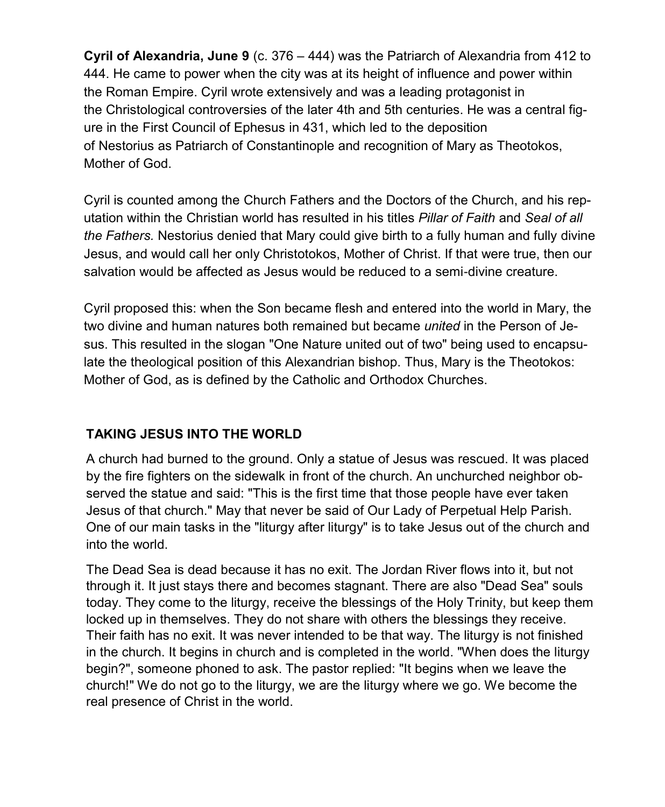**Cyril of Alexandria, June 9** (c. 376 – 444) was the [Patriarch of Alexandria](http://en.wikipedia.org/wiki/Patriarch_of_Alexandria) from 412 to 444. He came to power when the city was at its height of influence and power within the [Roman Empire.](http://en.wikipedia.org/wiki/Roman_Empire) Cyril wrote extensively and was a leading protagonist in the [Christological controversies](http://en.wikipedia.org/wiki/Christological_controversies) of the later 4th and 5th centuries. He was a central figure in the [First Council of Ephesus](http://en.wikipedia.org/wiki/First_Council_of_Ephesus) in 431, which led to the deposition of [Nestorius](http://en.wikipedia.org/wiki/Nestorius) as [Patriarch of Constantinople](http://en.wikipedia.org/wiki/Patriarch_of_Constantinople) and recognition of Mary as Theotokos, Mother of God.

Cyril is counted among the [Church Fathers](http://en.wikipedia.org/wiki/Church_Fathers) and the [Doctors of the Church,](http://en.wikipedia.org/wiki/Doctors_of_the_Church) and his reputation within the Christian world has resulted in his titles *Pillar of Faith* and *Seal of all the Fathers.* Nestorius denied that Mary could give birth to a fully human and fully divine Jesus, and would call her only Christotokos, Mother of Christ. If that were true, then our salvation would be affected as Jesus would be reduced to a semi-divine creature.

Cyril proposed this: when the Son became flesh and entered into the world in Mary, the two divine and human natures both remained but became *united* in the Person of Jesus. This resulted in the slogan "One Nature united out of two" being used to encapsulate the theological position of this Alexandrian bishop. Thus, Mary is the Theotokos: Mother of God, as is defined by the Catholic and Orthodox Churches.

#### **TAKING JESUS INTO THE WORLD**

A church had burned to the ground. Only a statue of Jesus was rescued. It was placed by the fire fighters on the sidewalk in front of the church. An unchurched neighbor observed the statue and said: "This is the first time that those people have ever taken Jesus of that church." May that never be said of Our Lady of Perpetual Help Parish. One of our main tasks in the "liturgy after liturgy" is to take Jesus out of the church and into the world.

The Dead Sea is dead because it has no exit. The Jordan River flows into it, but not through it. It just stays there and becomes stagnant. There are also "Dead Sea" souls today. They come to the liturgy, receive the blessings of the Holy Trinity, but keep them locked up in themselves. They do not share with others the blessings they receive. Their faith has no exit. It was never intended to be that way. The liturgy is not finished in the church. It begins in church and is completed in the world. "When does the liturgy begin?", someone phoned to ask. The pastor replied: "It begins when we leave the church!" We do not go to the liturgy, we are the liturgy where we go. We become the real presence of Christ in the world.